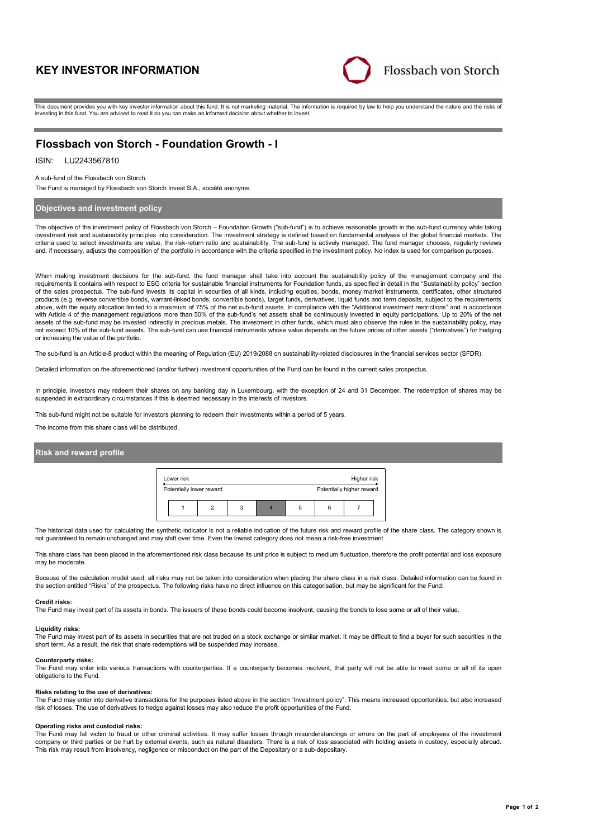# **KEY INVESTOR INFORMATION**



This document provides you with key investor information about this fund. It is not marketing material. The information is required by law to help you understand the nature and the risks of investing in this fund. You are advised to read it so you can make an informed decision about whether to invest.

# **Flossbach von Storch - Foundation Growth - I**

## ISIN: LU2243567810

### A sub-fund of the Flossbach von Storch.

The Fund is managed by Flossbach von Storch Invest S.A., société anonyme.

## **Objectives and investment policy**

The objective of the investment policy of Flossbach von Storch – Foundation Growth ("sub-fund") is to achieve reasonable growth in the sub-fund currency while taking investment risk and sustainability principles into consideration. The investment strategy is defined based on fundamental analyses of the global financial markets. The criteria used to select investments are value, the risk-return ratio and sustainability. The sub-fund is actively managed. The fund manager chooses, regularly reviews and, if necessary, adjusts the composition of the portfolio in accordance with the criteria specified in the investment policy. No index is used for comparison purposes.

When making investment decisions for the sub-fund, the fund manager shall take into account the sustainability policy of the management company and the requirements it contains with respect to ESG criteria for sustainable financial instruments for Foundation funds, as specified in detail in the "Sustainability policy" section of the sales prospectus. The sub-fund invests its capital in securities of all kinds, including equities, bonds, money market instruments, certificates, other structured products (e.g. reverse convertible bonds, warrant-linked bonds, convertible bonds), target funds, derivatives, liquid funds and term deposits, subject to the requirements above, with the equity allocation limited to a maximum of 75% of the net sub-fund assets. In compliance with the "Additional investment restrictions" and in accordance with Article 4 of the management regulations more than 50% of the sub-fund's net assets shall be continuously invested in equity participations. Up to 20% of the net assets of the sub-fund may be invested indirectly in precious metals. The investment in other funds, which must also observe the rules in the sustainability policy, may not exceed 10% of the sub-fund assets. The sub-fund can use financial instruments whose value depends on the future prices of other assets ("derivatives") for hedging or increasing the value of the portfolio.

The sub-fund is an Article-8 product within the meaning of Regulation (EU) 2019/2088 on sustainability-related disclosures in the financial services sector (SFDR).

Detailed information on the aforementioned (and/or further) investment opportunities of the Fund can be found in the current sales prospectus.

In principle, investors may redeem their shares on any banking day in Luxembourg, with the exception of 24 and 31 December. The redemption of shares may be suspended in extraordinary circumstances if this is deemed necessary in the interests of investors.

This sub-fund might not be suitable for investors planning to redeem their investments within a period of 5 years.

The income from this share class will be distributed.

## **Risk and reward profile**



The historical data used for calculating the synthetic indicator is not a reliable indication of the future risk and reward profile of the share class. The category shown is not guaranteed to remain unchanged and may shift over time. Even the lowest category does not mean a risk-free investment.

This share class has been placed in the aforementioned risk class because its unit price is subject to medium fluctuation, therefore the profit potential and loss exposure may be moderate.

Because of the calculation model used, all risks may not be taken into consideration when placing the share class in a risk class. Detailed information can be found in the section entitled "Risks" of the prospectus. The following risks have no direct influence on this categorisation, but may be significant for the Fund:

### **Credit risks:**

The Fund may invest part of its assets in bonds. The issuers of these bonds could become insolvent, causing the bonds to lose some or all of their value.

### **Liquidity risks:**

The Fund may invest part of its assets in securities that are not traded on a stock exchange or similar market. It may be difficult to find a buyer for such securities in the short term. As a result, the risk that share redemptions will be suspended may increase.

**Counterparty risks:**

The Fund may enter into various transactions with counterparties. If a counterparty becomes insolvent, that party will not be able to meet some or all of its open obligations to the Fund.

### **Risks relating to the use of derivatives:**

The Fund may enter into derivative transactions for the purposes listed above in the section "Investment policy". This means increased opportunities, but also increased risk of losses. The use of derivatives to hedge against losses may also reduce the profit opportunities of the Fund.

### **Operating risks and custodial risks:**

The Fund may fall victim to fraud or other criminal activities. It may suffer losses through misunderstandings or errors on the part of employees of the investment company or third parties or be hurt by external events, such as natural disasters. There is a risk of loss associated with holding assets in custody, especially abroad. This risk may result from insolvency, negligence or misconduct on the part of the Depositary or a sub-depositary.